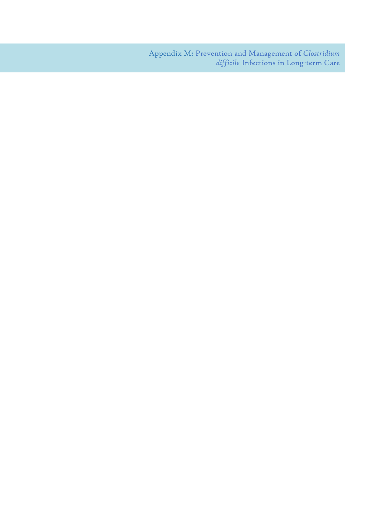Appendix M: Prevention and Management of *Clostridium difficile* Infections in Long-term Care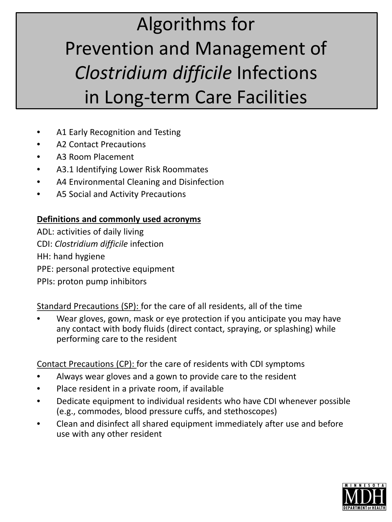# Algorithms for Prevention and Management of *Clostridium difficile* Infections in Long-term Care Facilities

- A1 Early Recognition and Testing
- A2 Contact Precautions
- A3 Room Placement
- A3.1 Identifying Lower Risk Roommates
- A4 Environmental Cleaning and Disinfection
- A5 Social and Activity Precautions

# **Definitions and commonly used acronyms**

ADL: activities of daily living CDI: *Clostridium difficile* infection HH: hand hygiene PPE: personal protective equipment PPIs: proton pump inhibitors

Standard Precautions (SP): for the care of all residents, all of the time

• Wear gloves, gown, mask or eye protection if you anticipate you may have any contact with body fluids (direct contact, spraying, or splashing) while performing care to the resident

Contact Precautions (CP): for the care of residents with CDI symptoms

- Always wear gloves and a gown to provide care to the resident
- Place resident in a private room, if available
- Dedicate equipment to individual residents who have CDI whenever possible (e.g., commodes, blood pressure cuffs, and stethoscopes)
- Clean and disinfect all shared equipment immediately after use and before use with any other resident

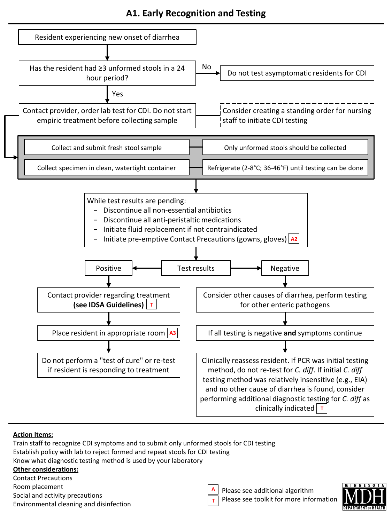# **A1. Early Recognition and Testing**



#### **Action Items:**

Train staff to recognize CDI symptoms and to submit only unformed stools for CDI testing Establish policy with lab to reject formed and repeat stools for CDI testing Know what diagnostic testing method is used by your laboratory **Other considerations:**

Contact Precautions

- Room placement
- Social and activity precautions
- Environmental cleaning and disinfection



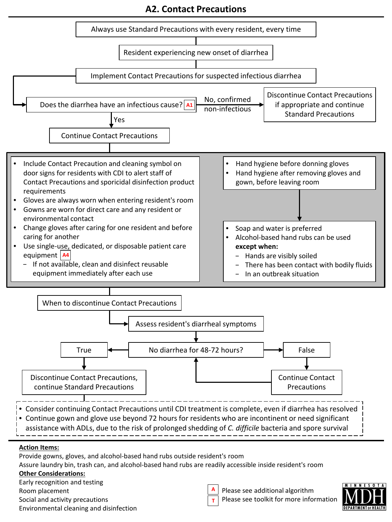**A2. Contact Precautions** 



#### **Other Considerations:**

Early recognition and testing Room placement Social and activity precautions

| Environmental cleaning and disinfection |  |  |
|-----------------------------------------|--|--|

Please see additional algorithm Please see toolkit for more information

**A T**

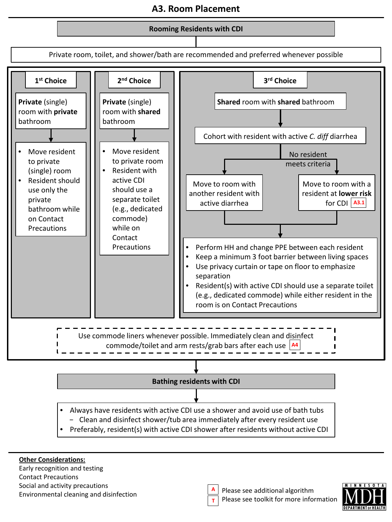# **A3. Room Placement**



- − Clean and disinfect shower/tub area immediately after every resident use
- Preferably, resident(s) with active CDI shower after residents without active CDI

#### **Other Considerations:**

Early recognition and testing Contact Precautions Social and activity precautions Environmental cleaning and disinfection

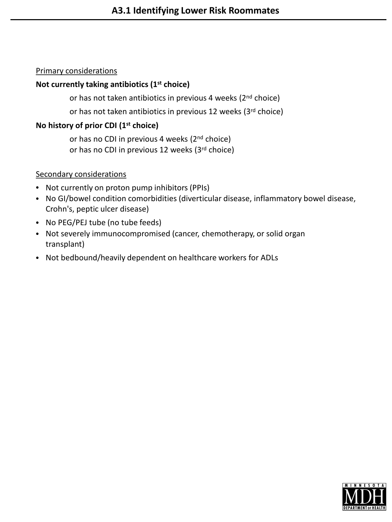#### Primary considerations

#### **Not currently taking antibiotics (1st choice)**

or has not taken antibiotics in previous 4 weeks (2<sup>nd</sup> choice)

or has not taken antibiotics in previous 12 weeks (3rd choice)

### **No history of prior CDI (1st choice)**

or has no CDI in previous 4 weeks (2<sup>nd</sup> choice) or has no CDI in previous 12 weeks (3rd choice)

#### Secondary considerations

- Not currently on proton pump inhibitors (PPIs)
- No GI/bowel condition comorbidities (diverticular disease, inflammatory bowel disease, Crohn's, peptic ulcer disease)
- No PEG/PEJ tube (no tube feeds)
- Not severely immunocompromised (cancer, chemotherapy, or solid organ transplant)
- Not bedbound/heavily dependent on healthcare workers for ADLs

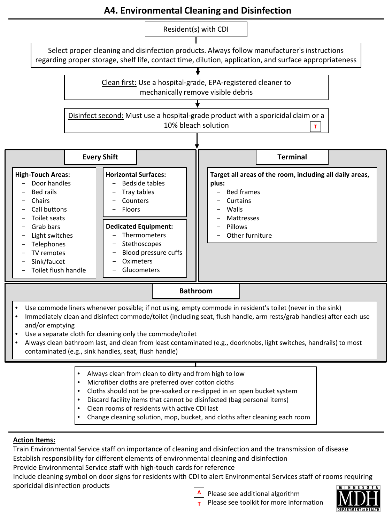# **A4. Environmental Cleaning and Disinfection**

Resident(s) with CDI

Select proper cleaning and disinfection products. Always follow manufacturer's instructions regarding proper storage, shelf life, contact time, dilution, application, and surface appropriateness



Disinfect second: Must use a hospital-grade product with a sporicidal claim or a 10% bleach solution **T**



- Use commode liners whenever possible; if not using, empty commode in resident's toilet (never in the sink)
- Immediately clean and disinfect commode/toilet (including seat, flush handle, arm rests/grab handles) after each use and/or emptying
- Use a separate cloth for cleaning only the commode/toilet
- Always clean bathroom last, and clean from least contaminated (e.g., doorknobs, light switches, handrails) to most contaminated (e.g., sink handles, seat, flush handle)
	- Always clean from clean to dirty and from high to low
	- Microfiber cloths are preferred over cotton cloths
	- Cloths should not be pre-soaked or re-dipped in an open bucket system
	- Discard facility items that cannot be disinfected (bag personal items)
	- Clean rooms of residents with active CDI last
	- Change cleaning solution, mop, bucket, and cloths after cleaning each room

#### **Action Items:**

Train Environmental Service staff on importance of cleaning and disinfection and the transmission of disease Establish responsibility for different elements of environmental cleaning and disinfection

Provide Environmental Service staff with high-touch cards for reference

Include cleaning symbol on door signs for residents with CDI to alert Environmental Services staff of rooms requiring sporicidal disinfection products